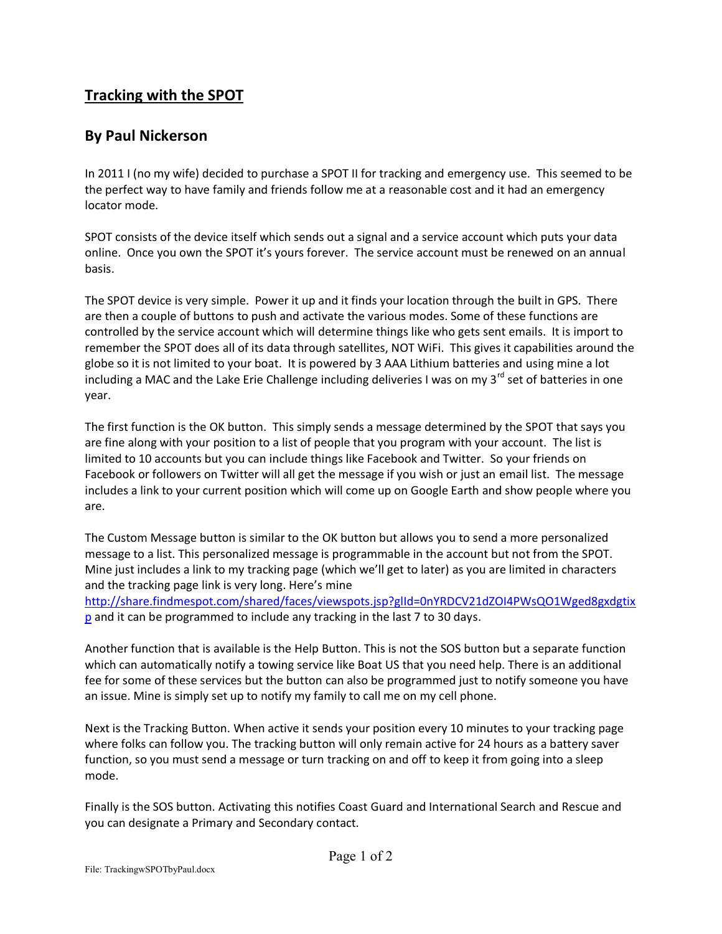## **Tracking with the SPOT**

## **By Paul Nickerson**

In 2011 I (no my wife) decided to purchase a SPOT II for tracking and emergency use. This seemed to be the perfect way to have family and friends follow me at a reasonable cost and it had an emergency locator mode.

SPOT consists of the device itself which sends out a signal and a service account which puts your data online. Once you own the SPOT it's yours forever. The service account must be renewed on an annual basis.

The SPOT device is very simple. Power it up and it finds your location through the built in GPS. There are then a couple of buttons to push and activate the various modes. Some of these functions are controlled by the service account which will determine things like who gets sent emails. It is import to remember the SPOT does all of its data through satellites, NOT WiFi. This gives it capabilities around the globe so it is not limited to your boat. It is powered by 3 AAA Lithium batteries and using mine a lot including a MAC and the Lake Erie Challenge including deliveries I was on my  $3^{rd}$  set of batteries in one year.

The first function is the OK button. This simply sends a message determined by the SPOT that says you are fine along with your position to a list of people that you program with your account. The list is limited to 10 accounts but you can include things like Facebook and Twitter. So your friends on Facebook or followers on Twitter will all get the message if you wish or just an email list. The message includes a link to your current position which will come up on Google Earth and show people where you are.

The Custom Message button is similar to the OK button but allows you to send a more personalized message to a list. This personalized message is programmable in the account but not from the SPOT. Mine just includes a link to my tracking page (which we'll get to later) as you are limited in characters and the tracking page link is very long. Here's mine

[http://share.findmespot.com/shared/faces/viewspots.jsp?glId=0nYRDCV21dZOI4PWsQO1Wged8gxdgtix](http://share.findmespot.com/shared/faces/viewspots.jsp?glId=0nYRDCV21dZOI4PWsQO1Wged8gxdgtixp) **[p](http://share.findmespot.com/shared/faces/viewspots.jsp?glId=0nYRDCV21dZOI4PWsQO1Wged8gxdgtixp)** and it can be programmed to include any tracking in the last 7 to 30 days.

Another function that is available is the Help Button. This is not the SOS button but a separate function which can automatically notify a towing service like Boat US that you need help. There is an additional fee for some of these services but the button can also be programmed just to notify someone you have an issue. Mine is simply set up to notify my family to call me on my cell phone.

Next is the Tracking Button. When active it sends your position every 10 minutes to your tracking page where folks can follow you. The tracking button will only remain active for 24 hours as a battery saver function, so you must send a message or turn tracking on and off to keep it from going into a sleep mode.

Finally is the SOS button. Activating this notifies Coast Guard and International Search and Rescue and you can designate a Primary and Secondary contact.